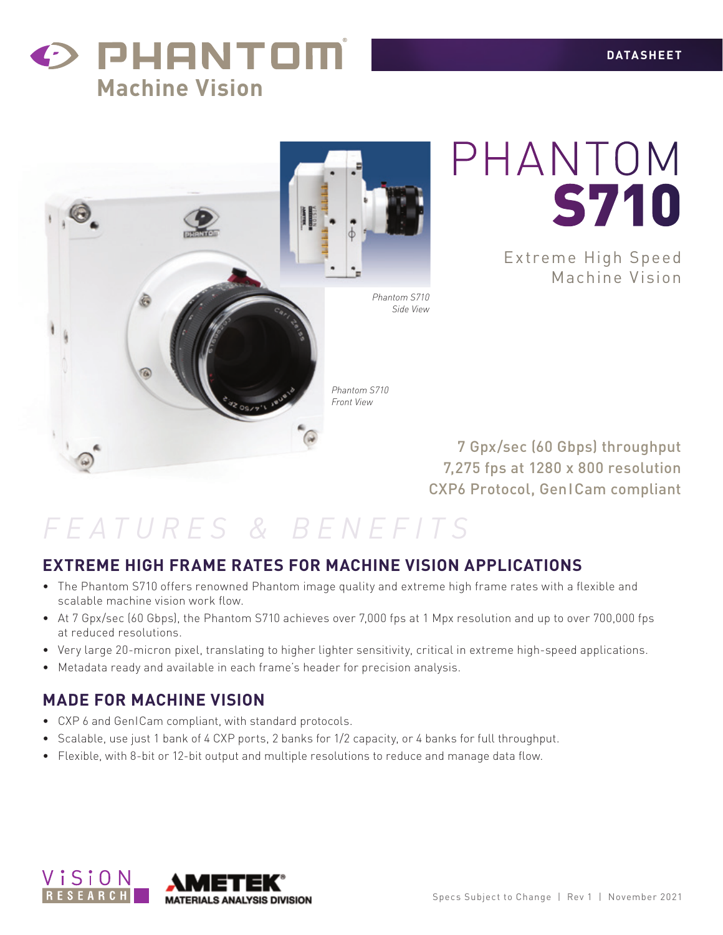



PHANTOM S710

> E xtreme High Speed Machine Vision

7 Gpx/sec (60 Gbps) throughput 7,275 fps at 1280 x 800 resolution CXP6 Protocol, GenICam compliant

### *FEATURES & BENEFITS*

### **EXTREME HIGH FRAME RATES FOR MACHINE VISION APPLICATIONS**

- • The Phantom S710 offers renowned Phantom image quality and extreme high frame rates with a flexible and scalable machine vision work flow.
- At 7 Gpx/sec (60 Gbps), the Phantom S710 achieves over 7,000 fps at 1 Mpx resolution and up to over 700,000 fps at reduced resolutions.
- • Very large 20-micron pixel, translating to higher lighter sensitivity, critical in extreme high-speed applications.
- • Metadata ready and available in each frame's header for precision analysis.

### **MADE FOR MACHINE VISION**

- • CXP 6 and GenICam compliant, with standard protocols.
- • Scalable, use just 1 bank of 4 CXP ports, 2 banks for 1/2 capacity, or 4 banks for full throughput.
- • Flexible, with 8-bit or 12-bit output and multiple resolutions to reduce and manage data flow.

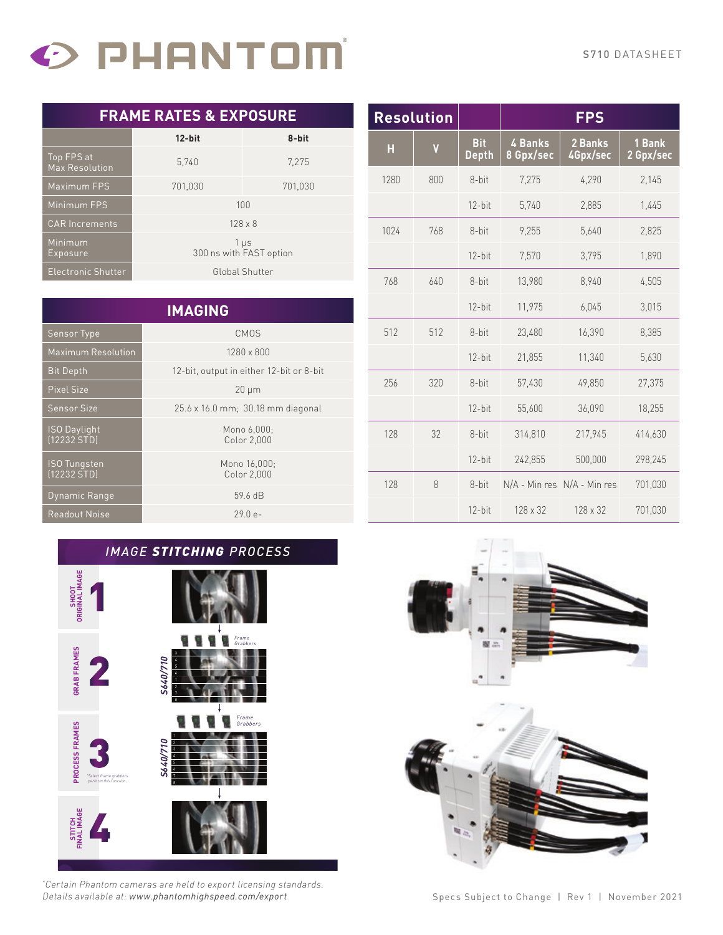# O PHANTOM

|  |  |  | <b>FRAME RATES &amp; EXPOSURE</b> |  |  |
|--|--|--|-----------------------------------|--|--|
|--|--|--|-----------------------------------|--|--|

|                                     | $12$ -bit<br>8-bit                   |         |  |
|-------------------------------------|--------------------------------------|---------|--|
| Top FPS at<br><b>Max Resolution</b> | 5.740                                | 7.275   |  |
| <b>Maximum FPS</b>                  | 701,030                              | 701,030 |  |
| Minimum FPS                         | 100                                  |         |  |
| <b>CAR Increments</b>               | $128 \times 8$                       |         |  |
| Minimum<br>Exposure                 | $1 \mu s$<br>300 ns with FAST option |         |  |
| Electronic Shutter                  | Global Shutter                       |         |  |

|                                    | <b>IMAGING</b>                           |
|------------------------------------|------------------------------------------|
| <b>Sensor Type</b>                 | <b>CMOS</b>                              |
| <b>Maximum Resolution</b>          | 1280 x 800                               |
| <b>Bit Depth</b>                   | 12-bit, output in either 12-bit or 8-bit |
| <b>Pixel Size</b>                  | $20 \mu m$                               |
| <b>Sensor Size</b>                 | 25.6 x 16.0 mm; 30.18 mm diagonal        |
| <b>ISO Daylight</b><br>[12232 STD] | Mono 6,000;<br>Color 2,000               |
| <b>ISO Tungsten</b><br>[12232 STD] | Mono 16,000;<br>Color 2,000              |
| Dynamic Range                      | 59.6 dB                                  |
| <b>Readout Noise</b>               | $290e-$                                  |

| <b>Resolution</b> |     |                            |                      | <b>FPS</b>                  |                     |
|-------------------|-----|----------------------------|----------------------|-----------------------------|---------------------|
| Н                 | V   | <b>Bit</b><br><b>Depth</b> | 4 Banks<br>8 Gpx/sec | 2 Banks<br>4Gpx/sec         | 1 Bank<br>2 Gpx/sec |
| 1280              | 800 | 8-bit                      | 7,275                | 4,290                       | 2,145               |
|                   |     | $12$ -bit                  | 5,740                | 2,885                       | 1,445               |
| 1024              | 768 | 8-bit                      | 9,255                | 5,640                       | 2,825               |
|                   |     | $12$ -bit                  | 7,570                | 3,795                       | 1,890               |
| 768               | 640 | 8-bit                      | 13,980               | 8,940                       | 4,505               |
|                   |     | 12-bit                     | 11,975               | 6,045                       | 3,015               |
| 512               | 512 | 8-bit                      | 23,480               | 16,390                      | 8,385               |
|                   |     | $12$ -bit                  | 21,855               | 11,340                      | 5,630               |
| 256               | 320 | 8-bit                      | 57,430               | 49,850                      | 27,375              |
|                   |     | $12$ -bit                  | 55,600               | 36,090                      | 18,255              |
| 128               | 32  | 8-bit                      | 314,810              | 217,945                     | 414,630             |
|                   |     | $12$ -bit                  | 242,855              | 500,000                     | 298,245             |
| 128               | 8   | 8-bit                      |                      | N/A - Min res N/A - Min res | 701,030             |
|                   |     | $12$ -bit                  | 128 x 32             | 128 x 32                    | 701,030             |

#### *IMAGE STITCHING PROCESS*



*\* Certain Phantom cameras are held to export licensing standards. Details available at: www.phantomhighspeed.com/export*



Specs Subject to Change | Rev 1 | November 2021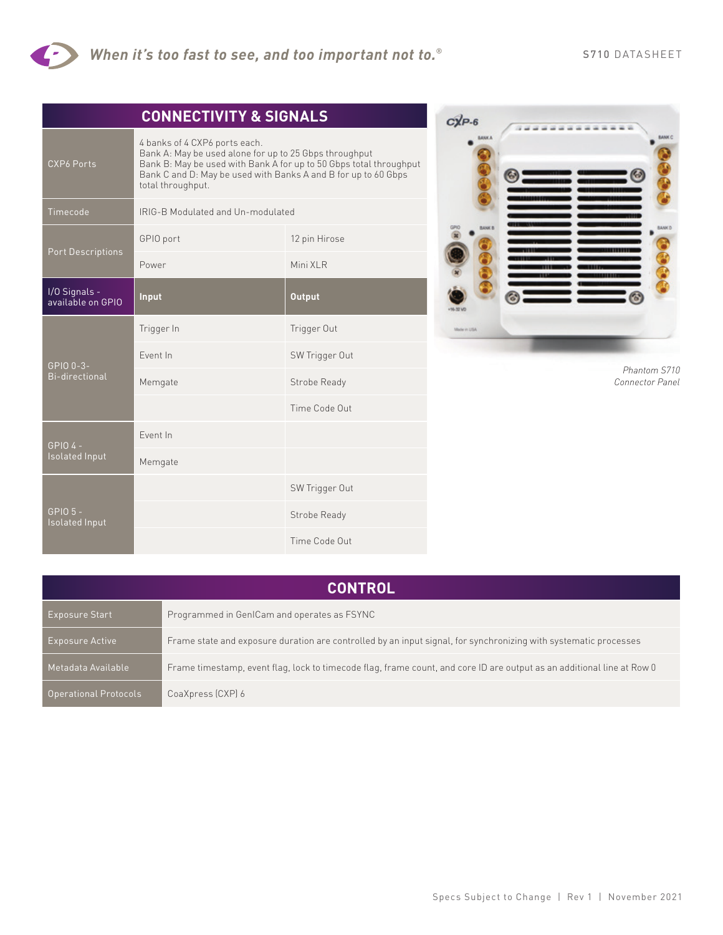

|                                     | <b>CONNECTIVITY &amp; SIGNALS</b>                                                                                                                                                                                                                    |                |  |
|-------------------------------------|------------------------------------------------------------------------------------------------------------------------------------------------------------------------------------------------------------------------------------------------------|----------------|--|
| <b>CXP6 Ports</b>                   | 4 banks of 4 CXP6 ports each.<br>Bank A: May be used alone for up to 25 Gbps throughput<br>Bank B: May be used with Bank A for up to 50 Gbps total throughput<br>Bank C and D: May be used with Banks A and B for up to 60 Gbps<br>total throughput. |                |  |
| Timecode                            | IRIG-B Modulated and Un-modulated                                                                                                                                                                                                                    |                |  |
| <b>Port Descriptions</b>            | GPIO port                                                                                                                                                                                                                                            | 12 pin Hirose  |  |
|                                     | Power                                                                                                                                                                                                                                                | Mini XLR       |  |
| I/O Signals -<br>available on GPIO  | Input                                                                                                                                                                                                                                                | <b>Output</b>  |  |
| GPIO 0-3-<br>Bi-directional         | Trigger In                                                                                                                                                                                                                                           | Trigger Out    |  |
|                                     | <b>Event In</b>                                                                                                                                                                                                                                      | SW Trigger Out |  |
|                                     | Memgate                                                                                                                                                                                                                                              | Strobe Ready   |  |
|                                     |                                                                                                                                                                                                                                                      | Time Code Out  |  |
| GPI04-<br><b>Isolated Input</b>     | Event In                                                                                                                                                                                                                                             |                |  |
|                                     | Memgate                                                                                                                                                                                                                                              |                |  |
| GPIO <sub>5</sub><br>Isolated Input |                                                                                                                                                                                                                                                      | SW Trigger Out |  |
|                                     |                                                                                                                                                                                                                                                      | Strobe Ready   |  |
|                                     |                                                                                                                                                                                                                                                      | Time Code Out  |  |



*Phantom S710 Connector Panel*

| <b>CONTROL</b>               |                                                                                                                        |  |
|------------------------------|------------------------------------------------------------------------------------------------------------------------|--|
| <b>Exposure Start</b>        | Programmed in GenICam and operates as FSYNC                                                                            |  |
| Exposure Active              | Frame state and exposure duration are controlled by an input signal, for synchronizing with systematic processes       |  |
| Metadata Available,          | Frame timestamp, event flag, lock to timecode flag, frame count, and core ID are output as an additional line at Row 0 |  |
| <b>Operational Protocols</b> | CoaXpress (CXP) 6                                                                                                      |  |